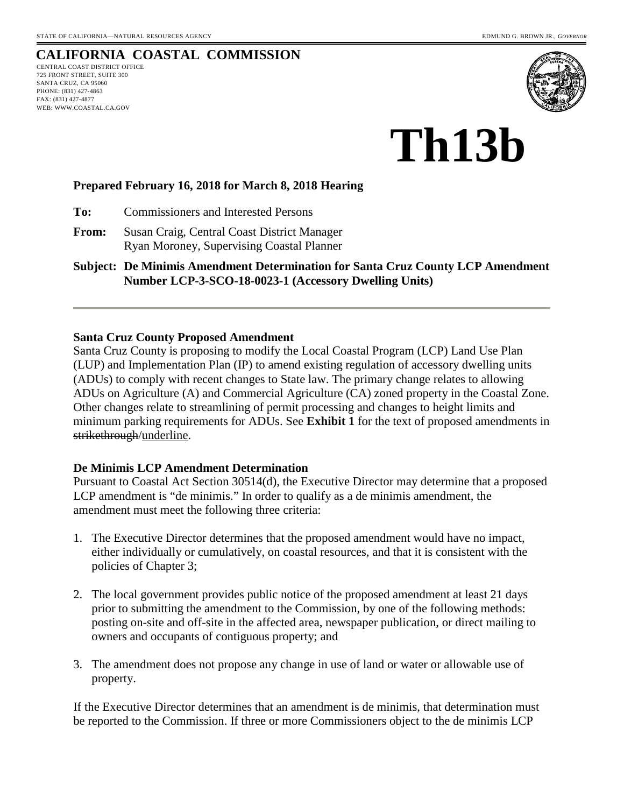# **CALIFORNIA COASTAL COMMISSION**

CENTRAL COAST DISTRICT OFFICE 725 FRONT STREET, SUITE 300 SANTA CRUZ, CA 95060 PHONE: (831) 427-4863 FAX: (831) 427-4877 WEB: WWW.COASTAL.CA.GOV



# **Th13b**

### **Prepared February 16, 2018 for March 8, 2018 Hearing**

**To:** Commissioners and Interested Persons

**From:** Susan Craig, Central Coast District Manager Ryan Moroney, Supervising Coastal Planner

**Subject: De Minimis Amendment Determination for Santa Cruz County LCP Amendment Number LCP-3-SCO-18-0023-1 (Accessory Dwelling Units)** 

#### **Santa Cruz County Proposed Amendment**

Santa Cruz County is proposing to modify the Local Coastal Program (LCP) Land Use Plan (LUP) and Implementation Plan (IP) to amend existing regulation of accessory dwelling units (ADUs) to comply with recent changes to State law. The primary change relates to allowing ADUs on Agriculture (A) and Commercial Agriculture (CA) zoned property in the Coastal Zone. Other changes relate to streamlining of permit processing and changes to height limits and minimum parking requirements for ADUs. See **Exhibit 1** for the text of proposed amendments in strikethrough/underline.

# **De Minimis LCP Amendment Determination**

Pursuant to Coastal Act Section 30514(d), the Executive Director may determine that a proposed LCP amendment is "de minimis." In order to qualify as a de minimis amendment, the amendment must meet the following three criteria:

- 1. The Executive Director determines that the proposed amendment would have no impact, either individually or cumulatively, on coastal resources, and that it is consistent with the policies of Chapter 3;
- 2. The local government provides public notice of the proposed amendment at least 21 days prior to submitting the amendment to the Commission, by one of the following methods: posting on-site and off-site in the affected area, newspaper publication, or direct mailing to owners and occupants of contiguous property; and
- 3. The amendment does not propose any change in use of land or water or allowable use of property.

If the Executive Director determines that an amendment is de minimis, that determination must be reported to the Commission. If three or more Commissioners object to the de minimis LCP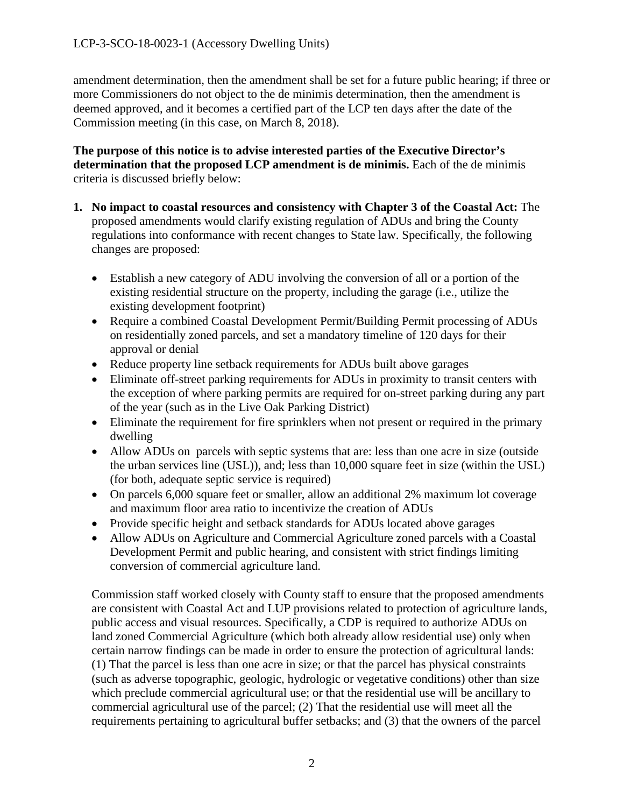amendment determination, then the amendment shall be set for a future public hearing; if three or more Commissioners do not object to the de minimis determination, then the amendment is deemed approved, and it becomes a certified part of the LCP ten days after the date of the Commission meeting (in this case, on March 8, 2018).

**The purpose of this notice is to advise interested parties of the Executive Director's determination that the proposed LCP amendment is de minimis.** Each of the de minimis criteria is discussed briefly below:

- **1. No impact to coastal resources and consistency with Chapter 3 of the Coastal Act:** The proposed amendments would clarify existing regulation of ADUs and bring the County regulations into conformance with recent changes to State law. Specifically, the following changes are proposed:
	- Establish a new category of ADU involving the conversion of all or a portion of the existing residential structure on the property, including the garage (i.e., utilize the existing development footprint)
	- Require a combined Coastal Development Permit/Building Permit processing of ADUs on residentially zoned parcels, and set a mandatory timeline of 120 days for their approval or denial
	- Reduce property line setback requirements for ADUs built above garages
	- Eliminate off-street parking requirements for ADUs in proximity to transit centers with the exception of where parking permits are required for on-street parking during any part of the year (such as in the Live Oak Parking District)
	- Eliminate the requirement for fire sprinklers when not present or required in the primary dwelling
	- Allow ADUs on parcels with septic systems that are: less than one acre in size (outside the urban services line (USL)), and; less than 10,000 square feet in size (within the USL) (for both, adequate septic service is required)
	- On parcels 6,000 square feet or smaller, allow an additional 2% maximum lot coverage and maximum floor area ratio to incentivize the creation of ADUs
	- Provide specific height and setback standards for ADUs located above garages
	- Allow ADUs on Agriculture and Commercial Agriculture zoned parcels with a Coastal Development Permit and public hearing, and consistent with strict findings limiting conversion of commercial agriculture land.

Commission staff worked closely with County staff to ensure that the proposed amendments are consistent with Coastal Act and LUP provisions related to protection of agriculture lands, public access and visual resources. Specifically, a CDP is required to authorize ADUs on land zoned Commercial Agriculture (which both already allow residential use) only when certain narrow findings can be made in order to ensure the protection of agricultural lands: (1) That the parcel is less than one acre in size; or that the parcel has physical constraints (such as adverse topographic, geologic, hydrologic or vegetative conditions) other than size which preclude commercial agricultural use; or that the residential use will be ancillary to commercial agricultural use of the parcel; (2) That the residential use will meet all the requirements pertaining to agricultural buffer setbacks; and (3) that the owners of the parcel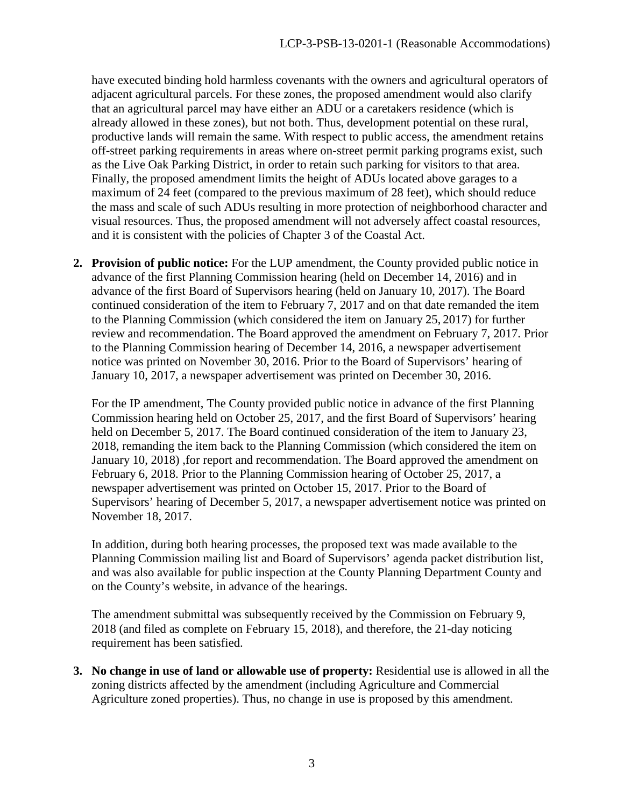have executed binding hold harmless covenants with the owners and agricultural operators of adjacent agricultural parcels. For these zones, the proposed amendment would also clarify that an agricultural parcel may have either an ADU or a caretakers residence (which is already allowed in these zones), but not both. Thus, development potential on these rural, productive lands will remain the same. With respect to public access, the amendment retains off-street parking requirements in areas where on-street permit parking programs exist, such as the Live Oak Parking District, in order to retain such parking for visitors to that area. Finally, the proposed amendment limits the height of ADUs located above garages to a maximum of 24 feet (compared to the previous maximum of 28 feet), which should reduce the mass and scale of such ADUs resulting in more protection of neighborhood character and visual resources. Thus, the proposed amendment will not adversely affect coastal resources, and it is consistent with the policies of Chapter 3 of the Coastal Act.

**2. Provision of public notice:** For the LUP amendment, the County provided public notice in advance of the first Planning Commission hearing (held on December 14, 2016) and in advance of the first Board of Supervisors hearing (held on January 10, 2017). The Board continued consideration of the item to February 7, 2017 and on that date remanded the item to the Planning Commission (which considered the item on January 25, 2017) for further review and recommendation. The Board approved the amendment on February 7, 2017. Prior to the Planning Commission hearing of December 14, 2016, a newspaper advertisement notice was printed on November 30, 2016. Prior to the Board of Supervisors' hearing of January 10, 2017, a newspaper advertisement was printed on December 30, 2016.

 For the IP amendment, The County provided public notice in advance of the first Planning Commission hearing held on October 25, 2017, and the first Board of Supervisors' hearing held on December 5, 2017. The Board continued consideration of the item to January 23, 2018, remanding the item back to the Planning Commission (which considered the item on January 10, 2018) ,for report and recommendation. The Board approved the amendment on February 6, 2018. Prior to the Planning Commission hearing of October 25, 2017, a newspaper advertisement was printed on October 15, 2017. Prior to the Board of Supervisors' hearing of December 5, 2017, a newspaper advertisement notice was printed on November 18, 2017.

 In addition, during both hearing processes, the proposed text was made available to the Planning Commission mailing list and Board of Supervisors' agenda packet distribution list, and was also available for public inspection at the County Planning Department County and on the County's website, in advance of the hearings.

The amendment submittal was subsequently received by the Commission on February 9, 2018 (and filed as complete on February 15, 2018), and therefore, the 21-day noticing requirement has been satisfied.

**3. No change in use of land or allowable use of property:** Residential use is allowed in all the zoning districts affected by the amendment (including Agriculture and Commercial Agriculture zoned properties). Thus, no change in use is proposed by this amendment.